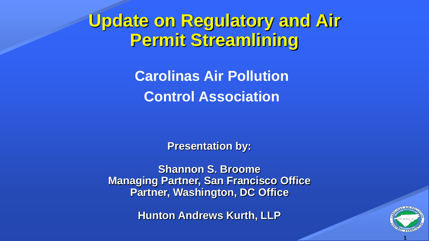# **Update on Regulatory and Air Permit Streamlining**

**Carolinas Air Pollution Control Association**

**Presentation by:**

**Shannon S. Broome Managing Partner, San Francisco Office Partner, Washington, DC Office**

**Hunton Andrews Kurth, LLP**



**1**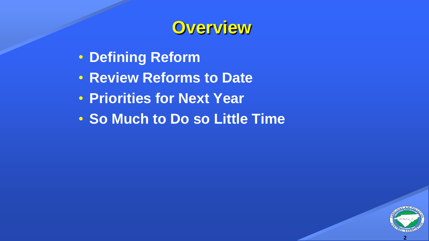## **Overview**

- **Defining Reform**
- **Review Reforms to Date**
- **Priorities for Next Year**
- **So Much to Do so Little Time**

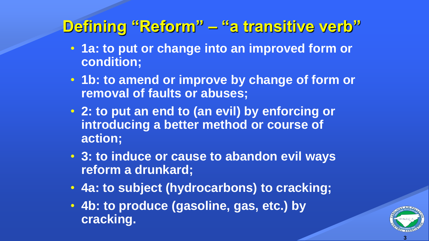### **Defining "Reform" – "a transitive verb"**

- **1a: to put or change into an improved form or condition;**
- **1b: to amend or improve by change of form or removal of faults or abuses;**
- **2: to put an end to (an evil) by enforcing or introducing a better method or course of action;**
- **3: to induce or cause to abandon evil ways reform a drunkard;**
- **4a: to subject (hydrocarbons) to cracking;**
- **4b: to produce (gasoline, gas, etc.) by cracking.**

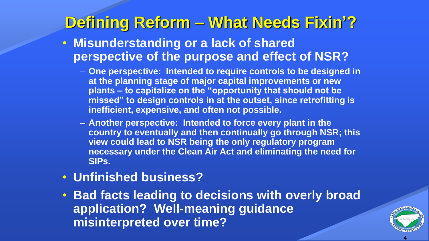### **Defining Reform – What Needs Fixin'?**

- **Misunderstanding or a lack of shared perspective of the purpose and effect of NSR?**
	- **One perspective: Intended to require controls to be designed in at the planning stage of major capital improvements or new plants – to capitalize on the "opportunity that should not be missed" to design controls in at the outset, since retrofitting is inefficient, expensive, and often not possible.**
	- **Another perspective: Intended to force every plant in the country to eventually and then continually go through NSR; this view could lead to NSR being the only regulatory program necessary under the Clean Air Act and eliminating the need for SIPs.**
- **Unfinished business?**
- **Bad facts leading to decisions with overly broad application? Well-meaning guidance misinterpreted over time?**

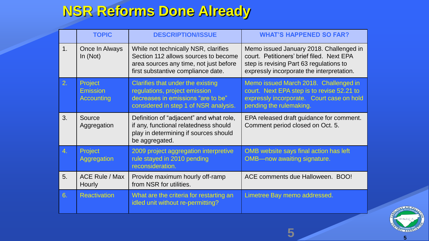#### **NSR Reforms Done Already**

|               | <b>TOPIC</b>                                    | <b>DESCRIPTION/ISSUE</b>                                                                                                                                     | <b>WHAT'S HAPPENED SO FAR?</b>                                                                                                                                               |
|---------------|-------------------------------------------------|--------------------------------------------------------------------------------------------------------------------------------------------------------------|------------------------------------------------------------------------------------------------------------------------------------------------------------------------------|
| $\mathbf 1$ . | Once In Always<br>In $(Not)$                    | While not technically NSR, clarifies<br>Section 112 allows sources to become<br>area sources any time, not just before<br>first substantive compliance date. | Memo issued January 2018. Challenged in<br>court. Petitioners' brief filed. Next EPA<br>step is revising Part 63 regulations to<br>expressly incorporate the interpretation. |
| 2.            | Project<br><b>Emission</b><br><b>Accounting</b> | Clarifies that under the existing<br>regulations, project emission<br>decreases in emissions "are to be"<br>considered in step 1 of NSR analysis.            | Memo issued March 2018. Challenged in<br>court. Next EPA step is to revise 52.21 to<br>expressly incorporate. Court case on hold<br>pending the rulemaking.                  |
| 3.            | Source<br>Aggregation                           | Definition of "adjacent" and what role,<br>if any, functional relatedness should<br>play in determining if sources should<br>be aggregated.                  | EPA released draft guidance for comment.<br>Comment period closed on Oct. 5.                                                                                                 |
| 4.            | <b>Project</b><br>Aggregation                   | 2009 project aggregation interpretive<br>rule stayed in 2010 pending<br>reconsideration.                                                                     | OMB website says final action has left<br><b>OMB--now awaiting signature.</b>                                                                                                |
| 5.            | <b>ACE Rule / Max</b><br>Hourly                 | Provide maximum hourly off-ramp<br>from NSR for utilities.                                                                                                   | ACE comments due Halloween. BOO!                                                                                                                                             |
| 6.            | <b>Reactivation</b>                             | What are the criteria for restarting an<br>idled unit without re-permitting?                                                                                 | Limetree Bay memo addressed.                                                                                                                                                 |

**5**

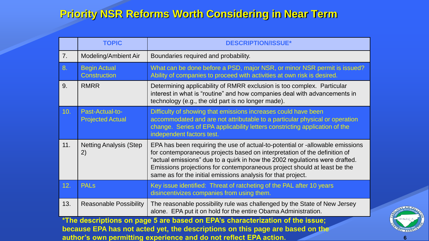#### **Priority NSR Reforms Worth Considering in Near Term**

|     | <b>TOPIC</b>                               | <b>DESCRIPTION/ISSUE*</b>                                                                                                                                                                                                                                                                                                                                                             |
|-----|--------------------------------------------|---------------------------------------------------------------------------------------------------------------------------------------------------------------------------------------------------------------------------------------------------------------------------------------------------------------------------------------------------------------------------------------|
| 7.  | Modeling/Ambient Air                       | Boundaries required and probability.                                                                                                                                                                                                                                                                                                                                                  |
| 8.  | <b>Begin Actual</b><br><b>Construction</b> | What can be done before a PSD, major NSR, or minor NSR permit is issued?<br>Ability of companies to proceed with activities at own risk is desired.                                                                                                                                                                                                                                   |
| 9.  | <b>RMRR</b>                                | Determining applicability of RMRR exclusion is too complex. Particular<br>interest in what is "routine" and how companies deal with advancements in<br>technology (e.g., the old part is no longer made).                                                                                                                                                                             |
| 10. | Past-Actual-to-<br><b>Projected Actual</b> | Difficulty of showing that emissions increases could have been<br>accommodated and are not attributable to a particular physical or operation<br>change. Series of EPA applicability letters constricting application of the<br>independent factors test.                                                                                                                             |
| 11. | <b>Netting Analysis (Step</b><br>2)        | EPA has been requiring the use of actual-to-potential or -allowable emissions<br>for contemporaneous projects based on interpretation of the definition of<br>"actual emissions" due to a quirk in how the 2002 regulations were drafted.<br>Emissions projections for contemporaneous project should at least be the<br>same as for the initial emissions analysis for that project. |
| 12. | <b>PAL<sub>s</sub></b>                     | Key issue identified: Threat of ratcheting of the PAL after 10 years<br>disincentivizes companies from using them.                                                                                                                                                                                                                                                                    |
| 13. | <b>Reasonable Possibility</b>              | The reasonable possibility rule was challenged by the State of New Jersey<br>alone. EPA put it on hold for the entire Obama Administration.                                                                                                                                                                                                                                           |

**\*The descriptions on page 5 are based on EPA's characterization of the issue; because EPA has not acted yet, the descriptions on this page are based on the author's own permitting experience and do not reflect EPA action.**

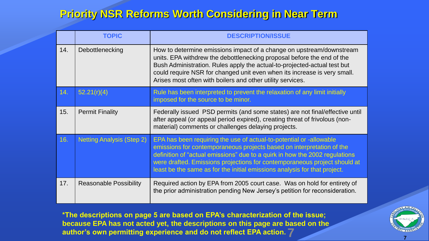#### **Priority NSR Reforms Worth Considering in Near Term**

|     | <b>TOPIC</b>                     | <b>DESCRIPTION/ISSUE</b>                                                                                                                                                                                                                                                                                                                                                              |
|-----|----------------------------------|---------------------------------------------------------------------------------------------------------------------------------------------------------------------------------------------------------------------------------------------------------------------------------------------------------------------------------------------------------------------------------------|
| 14. | Debottlenecking                  | How to determine emissions impact of a change on upstream/downstream<br>units. EPA withdrew the debottlenecking proposal before the end of the<br>Bush Administration. Rules apply the actual-to-projected-actual test but<br>could require NSR for changed unit even when its increase is very small.<br>Arises most often with boilers and other utility services.                  |
| 14. | 52.21(r)(4)                      | Rule has been interpreted to prevent the relaxation of any limit initially<br>imposed for the source to be minor.                                                                                                                                                                                                                                                                     |
| 15. | <b>Permit Finality</b>           | Federally issued PSD permits (and some states) are not final/effective until<br>after appeal (or appeal period expired), creating threat of frivolous (non-<br>material) comments or challenges delaying projects.                                                                                                                                                                    |
| 16. | <b>Netting Analysis (Step 2)</b> | EPA has been requiring the use of actual-to-potential or -allowable<br>emissions for contemporaneous projects based on interpretation of the<br>definition of "actual emissions" due to a quirk in how the 2002 regulations<br>were drafted. Emissions projections for contemporaneous project should at<br>least be the same as for the initial emissions analysis for that project. |
| 17. | <b>Reasonable Possibility</b>    | Required action by EPA from 2005 court case. Was on hold for entirety of<br>the prior administration pending New Jersey's petition for reconsideration.                                                                                                                                                                                                                               |

**7 <sup>7</sup> \*The descriptions on page 5 are based on EPA's characterization of the issue; because EPA has not acted yet, the descriptions on this page are based on the author's own permitting experience and do not reflect EPA action.**